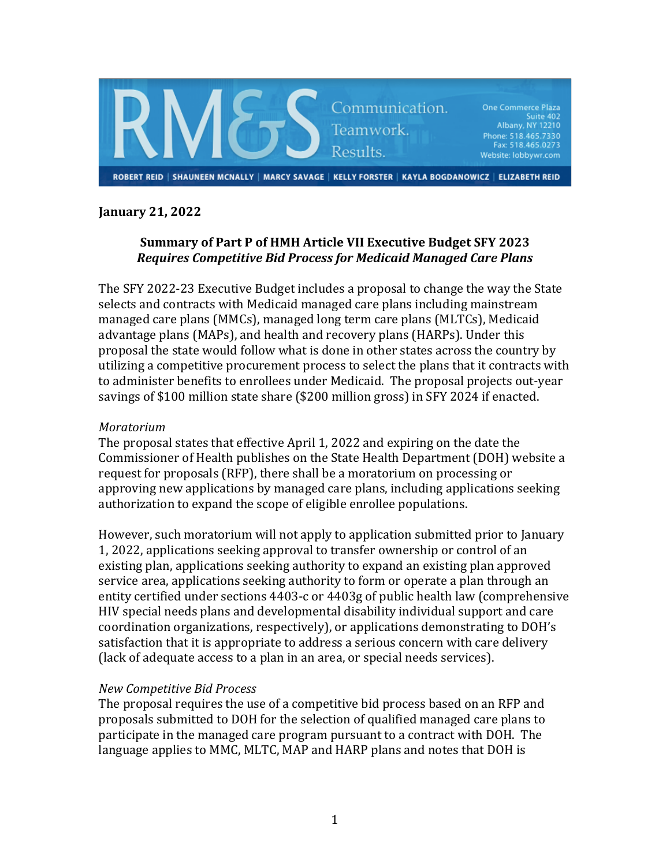

# **January 21, 2022**

# Summary of Part P of HMH Article VII Executive Budget SFY 2023 *Requires Competitive Bid Process for Medicaid Managed Care Plans*

The SFY 2022-23 Executive Budget includes a proposal to change the way the State selects and contracts with Medicaid managed care plans including mainstream managed care plans (MMCs), managed long term care plans (MLTCs), Medicaid advantage plans (MAPs), and health and recovery plans (HARPs). Under this proposal the state would follow what is done in other states across the country by utilizing a competitive procurement process to select the plans that it contracts with to administer benefits to enrollees under Medicaid. The proposal projects out-year savings of \$100 million state share (\$200 million gross) in SFY 2024 if enacted.

### *Moratorium*

The proposal states that effective April 1, 2022 and expiring on the date the Commissioner of Health publishes on the State Health Department (DOH) website a request for proposals (RFP), there shall be a moratorium on processing or approving new applications by managed care plans, including applications seeking authorization to expand the scope of eligible enrollee populations.

However, such moratorium will not apply to application submitted prior to January 1, 2022, applications seeking approval to transfer ownership or control of an existing plan, applications seeking authority to expand an existing plan approved service area, applications seeking authority to form or operate a plan through an entity certified under sections 4403-c or 4403g of public health law (comprehensive HIV special needs plans and developmental disability individual support and care coordination organizations, respectively), or applications demonstrating to DOH's satisfaction that it is appropriate to address a serious concern with care delivery (lack of adequate access to a plan in an area, or special needs services).

#### *New Competitive Bid Process*

The proposal requires the use of a competitive bid process based on an RFP and proposals submitted to DOH for the selection of qualified managed care plans to participate in the managed care program pursuant to a contract with DOH. The language applies to MMC, MLTC, MAP and HARP plans and notes that DOH is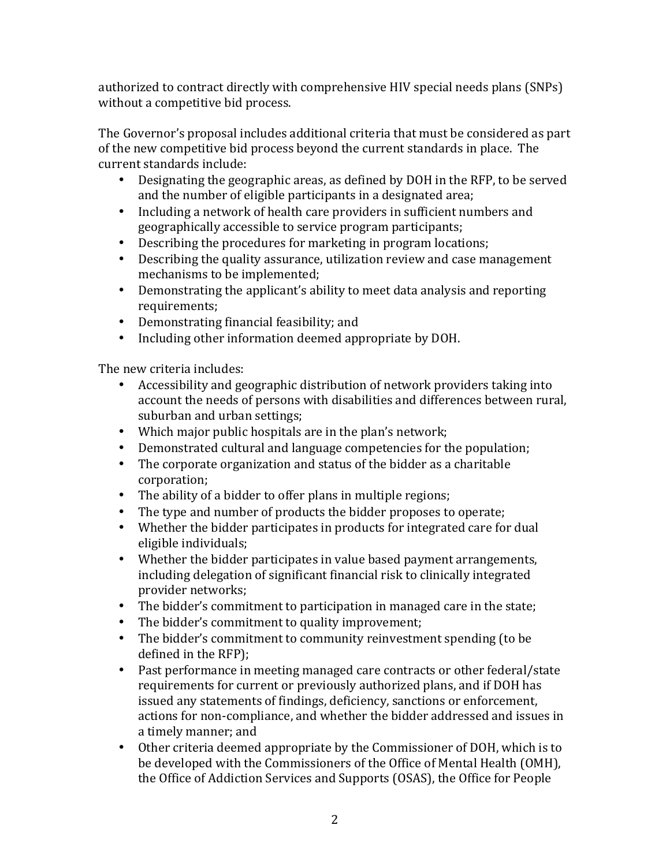authorized to contract directly with comprehensive HIV special needs plans (SNPs) without a competitive bid process.

The Governor's proposal includes additional criteria that must be considered as part of the new competitive bid process beyond the current standards in place. The current standards include:

- Designating the geographic areas, as defined by DOH in the RFP, to be served and the number of eligible participants in a designated area;
- Including a network of health care providers in sufficient numbers and geographically accessible to service program participants;
- Describing the procedures for marketing in program locations;
- Describing the quality assurance, utilization review and case management mechanisms to be implemented;
- Demonstrating the applicant's ability to meet data analysis and reporting requirements;
- Demonstrating financial feasibility; and
- Including other information deemed appropriate by DOH.

The new criteria includes:

- Accessibility and geographic distribution of network providers taking into account the needs of persons with disabilities and differences between rural, suburban and urban settings;
- Which major public hospitals are in the plan's network;
- Demonstrated cultural and language competencies for the population;
- The corporate organization and status of the bidder as a charitable corporation;
- The ability of a bidder to offer plans in multiple regions;
- The type and number of products the bidder proposes to operate;
- Whether the bidder participates in products for integrated care for dual eligible individuals:
- Whether the bidder participates in value based payment arrangements, including delegation of significant financial risk to clinically integrated provider networks;
- The bidder's commitment to participation in managed care in the state;
- The bidder's commitment to quality improvement;
- The bidder's commitment to community reinvestment spending (to be defined in the RFP);
- Past performance in meeting managed care contracts or other federal/state requirements for current or previously authorized plans, and if DOH has issued any statements of findings, deficiency, sanctions or enforcement, actions for non-compliance, and whether the bidder addressed and issues in a timely manner; and
- Other criteria deemed appropriate by the Commissioner of DOH, which is to be developed with the Commissioners of the Office of Mental Health (OMH), the Office of Addiction Services and Supports (OSAS), the Office for People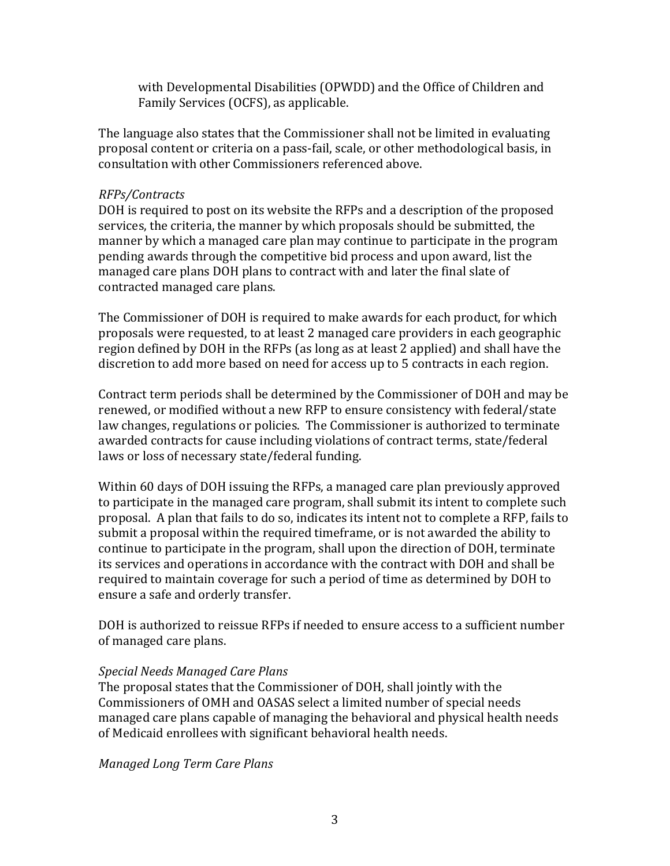with Developmental Disabilities (OPWDD) and the Office of Children and Family Services (OCFS), as applicable.

The language also states that the Commissioner shall not be limited in evaluating proposal content or criteria on a pass-fail, scale, or other methodological basis, in consultation with other Commissioners referenced above.

### *RFPs/Contracts*

DOH is required to post on its website the RFPs and a description of the proposed services, the criteria, the manner by which proposals should be submitted, the manner by which a managed care plan may continue to participate in the program pending awards through the competitive bid process and upon award, list the managed care plans DOH plans to contract with and later the final slate of contracted managed care plans.

The Commissioner of DOH is required to make awards for each product, for which proposals were requested, to at least 2 managed care providers in each geographic region defined by DOH in the RFPs (as long as at least 2 applied) and shall have the discretion to add more based on need for access up to 5 contracts in each region.

Contract term periods shall be determined by the Commissioner of DOH and may be renewed, or modified without a new RFP to ensure consistency with federal/state law changes, regulations or policies. The Commissioner is authorized to terminate awarded contracts for cause including violations of contract terms, state/federal laws or loss of necessary state/federal funding.

Within 60 days of DOH issuing the RFPs, a managed care plan previously approved to participate in the managed care program, shall submit its intent to complete such proposal. A plan that fails to do so, indicates its intent not to complete a RFP, fails to submit a proposal within the required timeframe, or is not awarded the ability to continue to participate in the program, shall upon the direction of DOH, terminate its services and operations in accordance with the contract with DOH and shall be required to maintain coverage for such a period of time as determined by DOH to ensure a safe and orderly transfer.

DOH is authorized to reissue RFPs if needed to ensure access to a sufficient number of managed care plans.

# *Special Needs Managed Care Plans*

The proposal states that the Commissioner of DOH, shall jointly with the Commissioners of OMH and OASAS select a limited number of special needs managed care plans capable of managing the behavioral and physical health needs of Medicaid enrollees with significant behavioral health needs.

*Managed Long Term Care Plans*